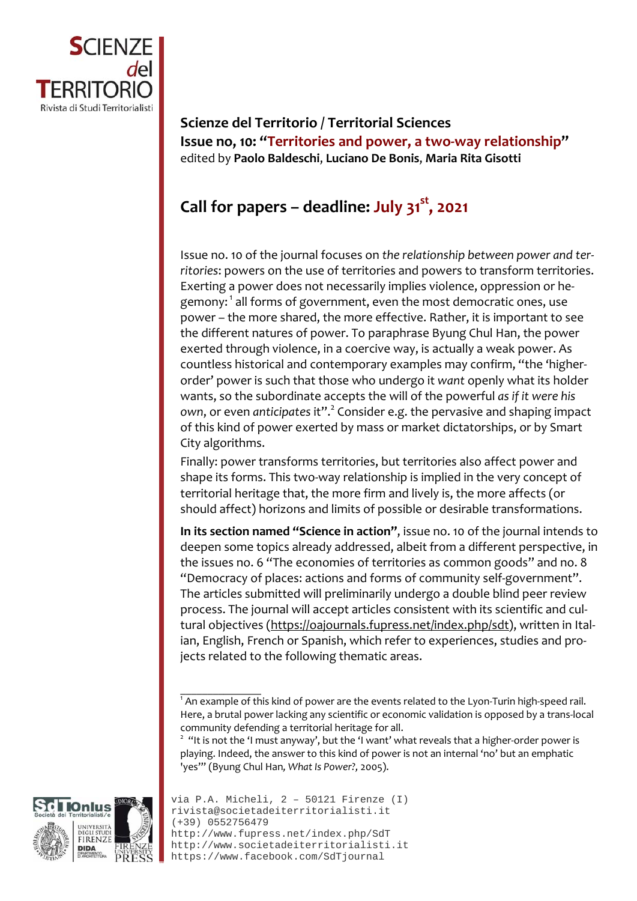

**Scienze del Territorio / Territorial Sciences Issue no, 10: "Territories and power, a two‐way relationship"** edited by **Paolo Baldeschi**, **Luciano De Bonis**, **Maria Rita Gisotti**

## **Call for papers – deadline: July 31st , 2021**

Issue no. 10 of the journal focuses on *the relationship between power and ter‐ ritories*: powers on the use of territories and powers to transform territories. Exerting a power does not necessarily implies violence, oppression or he‐ gemony:  $^{\rm 1}$  all forms of government, even the most democratic ones, use power – the more shared, the more effective. Rather, it is important to see the different natures of power. To paraphrase Byung Chul Han, the power exerted through violence, in a coercive way, is actually a weak power. As countless historical and contemporary examples may confirm, "the 'higher‐ order' power is such that those who undergo it *want* openly what its holder wants, so the subordinate accepts the will of the powerful *as if it were his own*, or even *anticipates* it".2 Consider e.g. the pervasive and shaping impact of this kind of power exerted by mass or market dictatorships, or by Smart City algorithms.

Finally: power transforms territories, but territories also affect power and shape its forms. This two-way relationship is implied in the very concept of territorial heritage that, the more firm and lively is, the more affects (or should affect) horizons and limits of possible or desirable transformations.

**In its section named "Science in action"**, issue no. 10 of the journal intends to deepen some topics already addressed, albeit from a different perspective, in the issues no. 6 "The economies of territories as common goods" and no. 8 "Democracy of places: actions and forms of community self‐government". The articles submitted will preliminarily undergo a double blind peer review process. The journal will accept articles consistent with its scientific and cul‐ tural objectives (https://oajournals.fupress.net/index.php/sdt), written in Italian, English, French or Spanish, which refer to experiences, studies and projects related to the following thematic areas.

 $2$  "It is not the 'I must anyway', but the 'I want' what reveals that a higher-order power is playing. Indeed, the answer to this kind of power is not an internal 'no' but an emphatic 'yes'" (Byung Chul Han*, What Is Power?,* 2005).



```
via P.A. Micheli, 2 – 50121 Firenze (I) 
rivista@societadeiterritorialisti.it 
 (+39) 0552756479 
http://www.fupress.net/index.php/SdT 
http://www.societadeiterritorialisti.it 
https://www.facebook.com/SdTjournal
```
 $\overline{\phantom{a}}$  , we can also the contract of  $\overline{\phantom{a}}$ 

 $^{\text{1}}$  An example of this kind of power are the events related to the Lyon-Turin high-speed rail. Here, a brutal power lacking any scientific or economic validation is opposed by a trans‐local community defending a territorial heritage for all.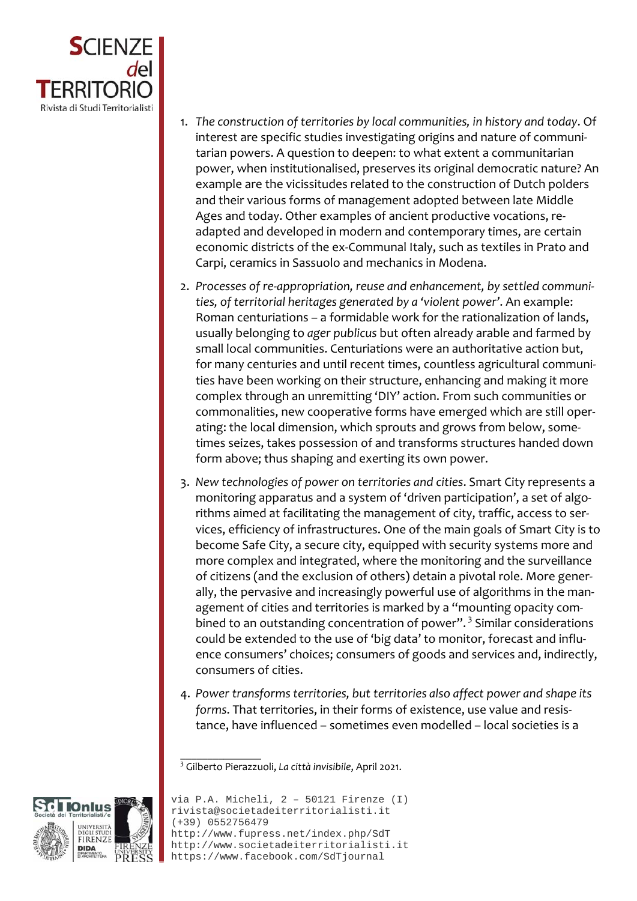

- 1. *The construction of territories by local communities, in history and today*. Of interest are specific studies investigating origins and nature of communi‐ tarian powers. A question to deepen: to what extent a communitarian power, when institutionalised, preserves its original democratic nature? An example are the vicissitudes related to the construction of Dutch polders and their various forms of management adopted between late Middle Ages and today. Other examples of ancient productive vocations, re‐ adapted and developed in modern and contemporary times, are certain economic districts of the ex‐Communal Italy, such as textiles in Prato and Carpi, ceramics in Sassuolo and mechanics in Modena.
- 2. *Processes of re‐appropriation, reuse and enhancement, by settled communi‐ ties, of territorial heritages generated by a 'violent power'*. An example: Roman centuriations – a formidable work for the rationalization of lands, usually belonging to *ager publicus* but often already arable and farmed by small local communities. Centuriations were an authoritative action but, for many centuries and until recent times, countless agricultural communi‐ ties have been working on their structure, enhancing and making it more complex through an unremitting 'DIY' action. From such communities or commonalities, new cooperative forms have emerged which are still oper‐ ating: the local dimension, which sprouts and grows from below, some‐ times seizes, takes possession of and transforms structures handed down form above; thus shaping and exerting its own power.
- 3. *New technologies of power on territories and cities*. Smart City represents a monitoring apparatus and a system of 'driven participation', a set of algorithms aimed at facilitating the management of city, traffic, access to ser‐ vices, efficiency of infrastructures. One of the main goals of Smart City is to become Safe City, a secure city, equipped with security systems more and more complex and integrated, where the monitoring and the surveillance of citizens (and the exclusion of others) detain a pivotal role. More gener‐ ally, the pervasive and increasingly powerful use of algorithms in the man‐ agement of cities and territories is marked by a "mounting opacity combined to an outstanding concentration of power".<sup>3</sup> Similar considerations could be extended to the use of 'big data' to monitor, forecast and influ‐ ence consumers' choices; consumers of goods and services and, indirectly, consumers of cities.
- 4. *Power transforms territories, but territories also affect power and shape its forms*. That territories, in their forms of existence, use value and resis‐ tance, have influenced – sometimes even modelled – local societies is a

 $\overline{\phantom{a}}$  , we can also the contract of  $\overline{\phantom{a}}$ <sup>3</sup> Gilberto Pierazzuoli, *La città invisibile*, April 2021.



```
via P.A. Micheli, 2 – 50121 Firenze (I) 
rivista@societadeiterritorialisti.it 
(+39) 0552756479 
http://www.fupress.net/index.php/SdT 
http://www.societadeiterritorialisti.it 
https://www.facebook.com/SdTjournal
```